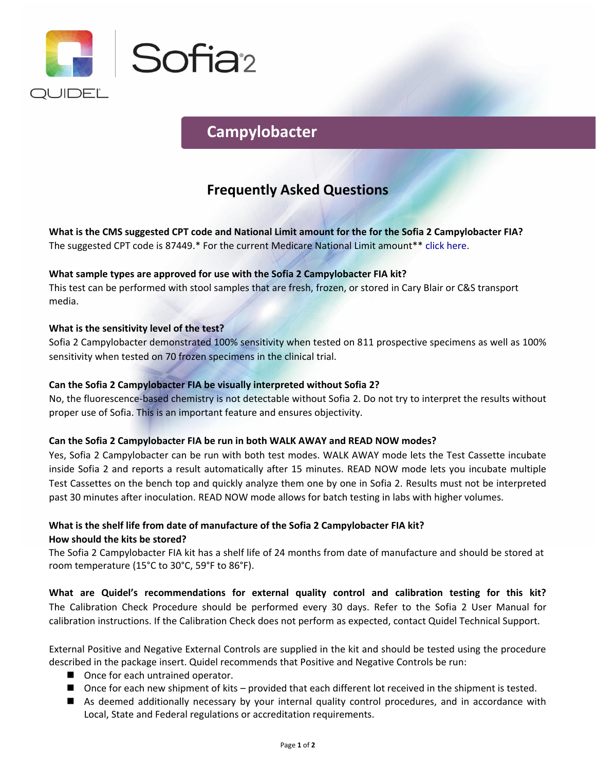

# **Campylobacter**

## **Frequently Asked Questions**

**What is the CMS suggested CPT code and National Limit amount for the for the Sofia 2 Campylobacter FIA?**  The suggested CPT code is 87449.\* For the current Medicare National Limit amount\*\* [click here.](https://www.codemap.com/quidel/index.cfm?page=rapid)

#### **What sample types are approved for use with the Sofia 2 Campylobacter FIA kit?**

This test can be performed with stool samples that are fresh, frozen, or stored in Cary Blair or C&S transport media.

#### **What is the sensitivity level of the test?**

Sofia 2 Campylobacter demonstrated 100% sensitivity when tested on 811 prospective specimens as well as 100% sensitivity when tested on 70 frozen specimens in the clinical trial.

#### **Can the Sofia 2 Campylobacter FIA be visually interpreted without Sofia 2?**

No, the fluorescence-based chemistry is not detectable without Sofia 2. Do not try to interpret the results without proper use of Sofia. This is an important feature and ensures objectivity.

#### **Can the Sofia 2 Campylobacter FIA be run in both WALK AWAY and READ NOW modes?**

Yes, Sofia 2 Campylobacter can be run with both test modes. WALK AWAY mode lets the Test Cassette incubate inside Sofia 2 and reports a result automatically after 15 minutes. READ NOW mode lets you incubate multiple Test Cassettes on the bench top and quickly analyze them one by one in Sofia 2. Results must not be interpreted past 30 minutes after inoculation. READ NOW mode allows for batch testing in labs with higher volumes.

### **What is the shelf life from date of manufacture of the Sofia 2 Campylobacter FIA kit? How should the kits be stored?**

The Sofia 2 Campylobacter FIA kit has a shelf life of 24 months from date of manufacture and should be stored at room temperature (15°C to 30°C, 59°F to 86°F).

**What are Quidel's recommendations for external quality control and calibration testing for this kit?**  The Calibration Check Procedure should be performed every 30 days. Refer to the Sofia 2 User Manual for calibration instructions. If the Calibration Check does not perform as expected, contact Quidel Technical Support.

External Positive and Negative External Controls are supplied in the kit and should be tested using the procedure described in the package insert. Quidel recommends that Positive and Negative Controls be run:

- Once for each untrained operator.
- Once for each new shipment of kits provided that each different lot received in the shipment is tested.
- As deemed additionally necessary by your internal quality control procedures, and in accordance with Local, State and Federal regulations or accreditation requirements.